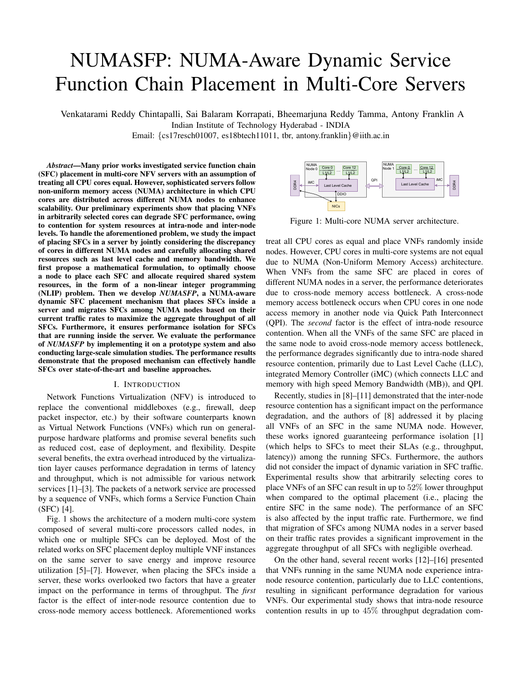# NUMASFP: NUMA-Aware Dynamic Service Function Chain Placement in Multi-Core Servers

Venkatarami Reddy Chintapalli, Sai Balaram Korrapati, Bheemarjuna Reddy Tamma, Antony Franklin A Indian Institute of Technology Hyderabad - INDIA

Email: {cs17resch01007, es18btech11011, tbr, antony.franklin}@iith.ac.in

*Abstract*—Many prior works investigated service function chain (SFC) placement in multi-core NFV servers with an assumption of treating all CPU cores equal. However, sophisticated servers follow non-uniform memory access (NUMA) architecture in which CPU cores are distributed across different NUMA nodes to enhance scalability. Our preliminary experiments show that placing VNFs in arbitrarily selected cores can degrade SFC performance, owing to contention for system resources at intra-node and inter-node levels. To handle the aforementioned problem, we study the impact of placing SFCs in a server by jointly considering the discrepancy of cores in different NUMA nodes and carefully allocating shared resources such as last level cache and memory bandwidth. We first propose a mathematical formulation, to optimally choose a node to place each SFC and allocate required shared system resources, in the form of a non-linear integer programming (NLIP) problem. Then we develop *NUMASFP*, a NUMA-aware dynamic SFC placement mechanism that places SFCs inside a server and migrates SFCs among NUMA nodes based on their current traffic rates to maximize the aggregate throughput of all SFCs. Furthermore, it ensures performance isolation for SFCs that are running inside the server. We evaluate the performance of *NUMASFP* by implementing it on a prototype system and also conducting large-scale simulation studies. The performance results demonstrate that the proposed mechanism can effectively handle SFCs over state-of-the-art and baseline approaches.

## I. INTRODUCTION

Network Functions Virtualization (NFV) is introduced to replace the conventional middleboxes (e.g., firewall, deep packet inspector, etc.) by their software counterparts known as Virtual Network Functions (VNFs) which run on generalpurpose hardware platforms and promise several benefits such as reduced cost, ease of deployment, and flexibility. Despite several benefits, the extra overhead introduced by the virtualization layer causes performance degradation in terms of latency and throughput, which is not admissible for various network services [1]–[3]. The packets of a network service are processed by a sequence of VNFs, which forms a Service Function Chain (SFC) [4].

Fig. 1 shows the architecture of a modern multi-core system composed of several multi-core processors called nodes, in which one or multiple SFCs can be deployed. Most of the related works on SFC placement deploy multiple VNF instances on the same server to save energy and improve resource utilization [5]–[7]. However, when placing the SFCs inside a server, these works overlooked two factors that have a greater impact on the performance in terms of throughput. The *first* factor is the effect of inter-node resource contention due to cross-node memory access bottleneck. Aforementioned works



Figure 1: Multi-core NUMA server architecture.

treat all CPU cores as equal and place VNFs randomly inside nodes. However, CPU cores in multi-core systems are not equal due to NUMA (Non-Uniform Memory Access) architecture. When VNFs from the same SFC are placed in cores of different NUMA nodes in a server, the performance deteriorates due to cross-node memory access bottleneck. A cross-node memory access bottleneck occurs when CPU cores in one node access memory in another node via Quick Path Interconnect (QPI). The *second* factor is the effect of intra-node resource contention. When all the VNFs of the same SFC are placed in the same node to avoid cross-node memory access bottleneck, the performance degrades significantly due to intra-node shared resource contention, primarily due to Last Level Cache (LLC), integrated Memory Controller (iMC) (which connects LLC and memory with high speed Memory Bandwidth (MB)), and QPI.

Recently, studies in [8]–[11] demonstrated that the inter-node resource contention has a significant impact on the performance degradation, and the authors of [8] addressed it by placing all VNFs of an SFC in the same NUMA node. However, these works ignored guaranteeing performance isolation [1] (which helps to SFCs to meet their SLAs (e.g., throughput, latency)) among the running SFCs. Furthermore, the authors did not consider the impact of dynamic variation in SFC traffic. Experimental results show that arbitrarily selecting cores to place VNFs of an SFC can result in up to 52% lower throughput when compared to the optimal placement (i.e., placing the entire SFC in the same node). The performance of an SFC is also affected by the input traffic rate. Furthermore, we find that migration of SFCs among NUMA nodes in a server based on their traffic rates provides a significant improvement in the aggregate throughput of all SFCs with negligible overhead.

On the other hand, several recent works [12]–[16] presented that VNFs running in the same NUMA node experience intranode resource contention, particularly due to LLC contentions, resulting in significant performance degradation for various VNFs. Our experimental study shows that intra-node resource contention results in up to 45% throughput degradation com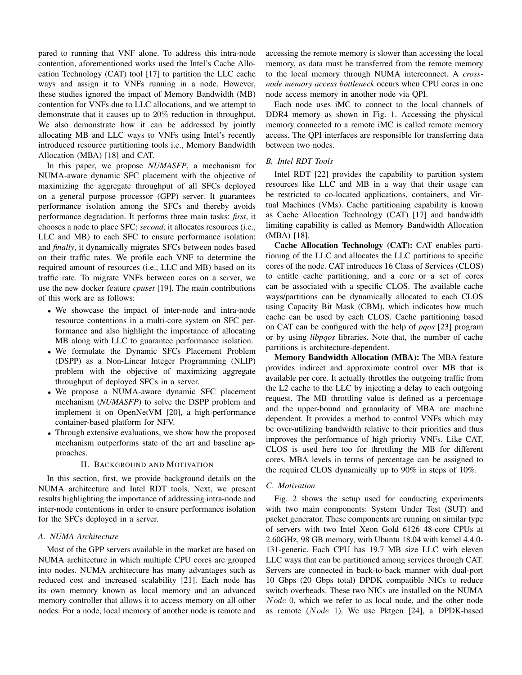pared to running that VNF alone. To address this intra-node contention, aforementioned works used the Intel's Cache Allocation Technology (CAT) tool [17] to partition the LLC cache ways and assign it to VNFs running in a node. However, these studies ignored the impact of Memory Bandwidth (MB) contention for VNFs due to LLC allocations, and we attempt to demonstrate that it causes up to 20% reduction in throughput. We also demonstrate how it can be addressed by jointly allocating MB and LLC ways to VNFs using Intel's recently introduced resource partitioning tools i.e., Memory Bandwidth Allocation (MBA) [18] and CAT.

In this paper, we propose *NUMASFP*, a mechanism for NUMA-aware dynamic SFC placement with the objective of maximizing the aggregate throughput of all SFCs deployed on a general purpose processor (GPP) server. It guarantees performance isolation among the SFCs and thereby avoids performance degradation. It performs three main tasks: *first*, it chooses a node to place SFC; *second*, it allocates resources (i.e., LLC and MB) to each SFC to ensure performance isolation; and *finally*, it dynamically migrates SFCs between nodes based on their traffic rates. We profile each VNF to determine the required amount of resources (i.e., LLC and MB) based on its traffic rate. To migrate VNFs between cores on a server, we use the new docker feature *cpuset* [19]. The main contributions of this work are as follows:

- We showcase the impact of inter-node and intra-node resource contentions in a multi-core system on SFC performance and also highlight the importance of allocating MB along with LLC to guarantee performance isolation.
- We formulate the Dynamic SFCs Placement Problem (DSPP) as a Non-Linear Integer Programming (NLIP) problem with the objective of maximizing aggregate throughput of deployed SFCs in a server.
- We propose a NUMA-aware dynamic SFC placement mechanism (*NUMASFP*) to solve the DSPP problem and implement it on OpenNetVM [20], a high-performance container-based platform for NFV.
- Through extensive evaluations, we show how the proposed mechanism outperforms state of the art and baseline approaches.

# II. BACKGROUND AND MOTIVATION

In this section, first, we provide background details on the NUMA architecture and Intel RDT tools. Next, we present results highlighting the importance of addressing intra-node and inter-node contentions in order to ensure performance isolation for the SFCs deployed in a server.

# *A. NUMA Architecture*

Most of the GPP servers available in the market are based on NUMA architecture in which multiple CPU cores are grouped into nodes. NUMA architecture has many advantages such as reduced cost and increased scalability [21]. Each node has its own memory known as local memory and an advanced memory controller that allows it to access memory on all other nodes. For a node, local memory of another node is remote and accessing the remote memory is slower than accessing the local memory, as data must be transferred from the remote memory to the local memory through NUMA interconnect. A *crossnode memory access bottleneck* occurs when CPU cores in one node access memory in another node via QPI.

Each node uses iMC to connect to the local channels of DDR4 memory as shown in Fig. 1. Accessing the physical memory connected to a remote iMC is called remote memory access. The QPI interfaces are responsible for transferring data between two nodes.

#### *B. Intel RDT Tools*

Intel RDT [22] provides the capability to partition system resources like LLC and MB in a way that their usage can be restricted to co-located applications, containers, and Virtual Machines (VMs). Cache partitioning capability is known as Cache Allocation Technology (CAT) [17] and bandwidth limiting capability is called as Memory Bandwidth Allocation (MBA) [18].

Cache Allocation Technology (CAT): CAT enables partitioning of the LLC and allocates the LLC partitions to specific cores of the node. CAT introduces 16 Class of Services (CLOS) to entitle cache partitioning, and a core or a set of cores can be associated with a specific CLOS. The available cache ways/partitions can be dynamically allocated to each CLOS using Capacity Bit Mask (CBM), which indicates how much cache can be used by each CLOS. Cache partitioning based on CAT can be configured with the help of *pqos* [23] program or by using *libpqos* libraries. Note that, the number of cache partitions is architecture-dependent.

Memory Bandwidth Allocation (MBA): The MBA feature provides indirect and approximate control over MB that is available per core. It actually throttles the outgoing traffic from the L2 cache to the LLC by injecting a delay to each outgoing request. The MB throttling value is defined as a percentage and the upper-bound and granularity of MBA are machine dependent. It provides a method to control VNFs which may be over-utilizing bandwidth relative to their priorities and thus improves the performance of high priority VNFs. Like CAT, CLOS is used here too for throttling the MB for different cores. MBA levels in terms of percentage can be assigned to the required CLOS dynamically up to 90% in steps of 10%.

#### *C. Motivation*

Fig. 2 shows the setup used for conducting experiments with two main components: System Under Test (SUT) and packet generator. These components are running on similar type of servers with two Intel Xeon Gold 6126 48-core CPUs at 2.60GHz, 98 GB memory, with Ubuntu 18.04 with kernel 4.4.0- 131-generic. Each CPU has 19.7 MB size LLC with eleven LLC ways that can be partitioned among services through CAT. Servers are connected in back-to-back manner with dual-port 10 Gbps (20 Gbps total) DPDK compatible NICs to reduce switch overheads. These two NICs are installed on the NUMA Node 0, which we refer to as local node, and the other node as remote (Node 1). We use Pktgen [24], a DPDK-based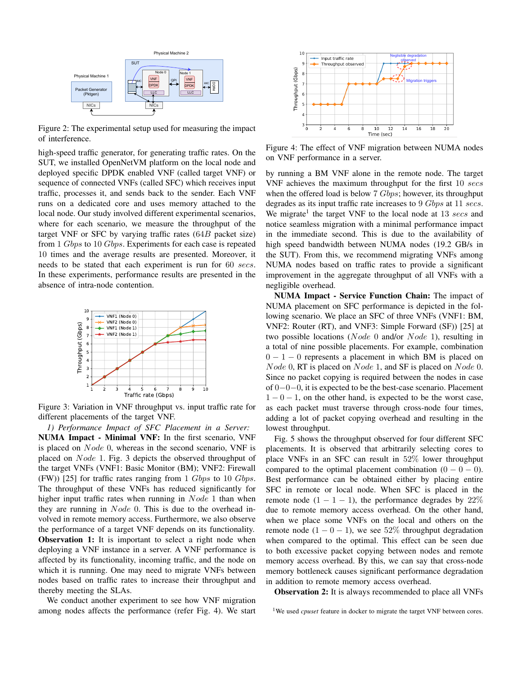

Figure 2: The experimental setup used for measuring the impact of interference.

high-speed traffic generator, for generating traffic rates. On the SUT, we installed OpenNetVM platform on the local node and deployed specific DPDK enabled VNF (called target VNF) or sequence of connected VNFs (called SFC) which receives input traffic, processes it, and sends back to the sender. Each VNF runs on a dedicated core and uses memory attached to the local node. Our study involved different experimental scenarios, where for each scenario, we measure the throughput of the target VNF or SFC by varying traffic rates  $(64B)$  packet size) from 1 Gbps to 10 Gbps. Experiments for each case is repeated 10 times and the average results are presented. Moreover, it needs to be stated that each experiment is run for 60 secs. In these experiments, performance results are presented in the absence of intra-node contention.



Figure 3: Variation in VNF throughput vs. input traffic rate for different placements of the target VNF.

*1) Performance Impact of SFC Placement in a Server:* NUMA Impact - Minimal VNF: In the first scenario, VNF is placed on Node 0, whereas in the second scenario, VNF is placed on *Node* 1. Fig. 3 depicts the observed throughput of the target VNFs (VNF1: Basic Monitor (BM); VNF2: Firewall (FW)) [25] for traffic rates ranging from 1  $Gbps$  to 10  $Gbps$ . The throughput of these VNFs has reduced significantly for higher input traffic rates when running in  $Node\ 1$  than when they are running in *Node* 0. This is due to the overhead involved in remote memory access. Furthermore, we also observe the performance of a target VNF depends on its functionality. **Observation 1:** It is important to select a right node when deploying a VNF instance in a server. A VNF performance is affected by its functionality, incoming traffic, and the node on which it is running. One may need to migrate VNFs between nodes based on traffic rates to increase their throughput and thereby meeting the SLAs.

We conduct another experiment to see how VNF migration among nodes affects the performance (refer Fig. 4). We start



Figure 4: The effect of VNF migration between NUMA nodes on VNF performance in a server.

by running a BM VNF alone in the remote node. The target VNF achieves the maximum throughput for the first 10 secs when the offered load is below 7 *Gbps*; however, its throughput degrades as its input traffic rate increases to 9 Gbps at 11 secs. We migrate<sup>1</sup> the target VNF to the local node at 13 secs and notice seamless migration with a minimal performance impact in the immediate second. This is due to the availability of high speed bandwidth between NUMA nodes (19.2 GB/s in the SUT). From this, we recommend migrating VNFs among NUMA nodes based on traffic rates to provide a significant improvement in the aggregate throughput of all VNFs with a negligible overhead.

NUMA Impact - Service Function Chain: The impact of NUMA placement on SFC performance is depicted in the following scenario. We place an SFC of three VNFs (VNF1: BM, VNF2: Router (RT), and VNF3: Simple Forward (SF)) [25] at two possible locations (Node 0 and/or Node 1), resulting in a total of nine possible placements. For example, combination  $0 - 1 - 0$  represents a placement in which BM is placed on Node 0, RT is placed on Node 1, and SF is placed on Node 0. Since no packet copying is required between the nodes in case of 0−0−0, it is expected to be the best-case scenario. Placement  $1 - 0 - 1$ , on the other hand, is expected to be the worst case, as each packet must traverse through cross-node four times, adding a lot of packet copying overhead and resulting in the lowest throughput.

Fig. 5 shows the throughput observed for four different SFC placements. It is observed that arbitrarily selecting cores to place VNFs in an SFC can result in 52% lower throughput compared to the optimal placement combination  $(0 - 0 - 0)$ . Best performance can be obtained either by placing entire SFC in remote or local node. When SFC is placed in the remote node  $(1 - 1 - 1)$ , the performance degrades by 22% due to remote memory access overhead. On the other hand, when we place some VNFs on the local and others on the remote node  $(1 - 0 - 1)$ , we see 52% throughput degradation when compared to the optimal. This effect can be seen due to both excessive packet copying between nodes and remote memory access overhead. By this, we can say that cross-node memory bottleneck causes significant performance degradation in addition to remote memory access overhead.

Observation 2: It is always recommended to place all VNFs

<sup>1</sup>We used *cpuset* feature in docker to migrate the target VNF between cores.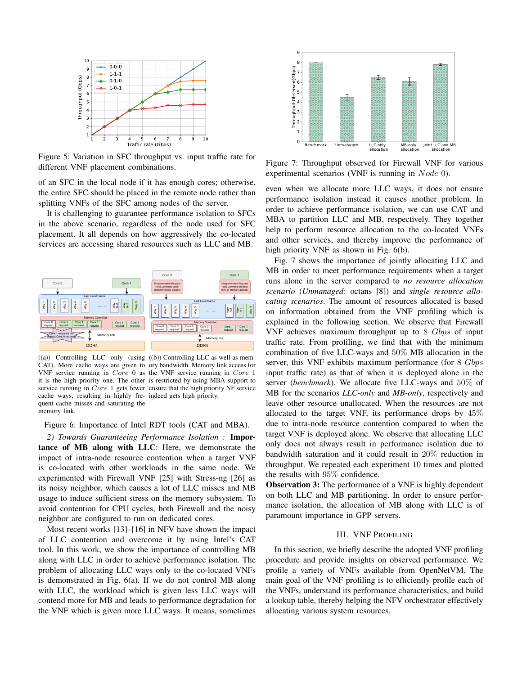

Figure 5: Variation in SFC throughput vs. input traffic rate for different VNF placement combinations.

of an SFC in the local node if it has enough cores; otherwise, the entire SFC should be placed in the remote node rather than splitting VNFs of the SFC among nodes of the server.

It is challenging to guarantee performance isolation to SFCs in the above scenario, regardless of the node used for SFC placement. It all depends on how aggressively the co-located services are accessing shared resources such as LLC and MB.



((a)) Controlling LLC only (using ((b)) Controlling LLC as well as mem-CAT). More cache ways are given to ory bandwidth. Memory link access for VNF service running in Core 0 as the VNF service running in Core 1 it is the high priority one. The other is restricted by using MBA support to service running in Core 1 gets fewer ensure that the high priority NF service cache ways, resulting in highly fre-indeed gets high priority. quent cache misses and saturating the memory link.

Figure 6: Importance of Intel RDT tools (CAT and MBA).

*2) Towards Guaranteeing Performance Isolation :* Importance of MB along with LLC: Here, we demonstrate the impact of intra-node resource contention when a target VNF is co-located with other workloads in the same node. We experimented with Firewall VNF [25] with Stress-ng [26] as its noisy neighbor, which causes a lot of LLC misses and MB usage to induce sufficient stress on the memory subsystem. To avoid contention for CPU cycles, both Firewall and the noisy neighbor are configured to run on dedicated cores.

Most recent works [13]–[16] in NFV have shown the impact of LLC contention and overcome it by using Intel's CAT tool. In this work, we show the importance of controlling MB along with LLC in order to achieve performance isolation. The problem of allocating LLC ways only to the co-located VNFs is demonstrated in Fig. 6(a). If we do not control MB along with LLC, the workload which is given less LLC ways will contend more for MB and leads to performance degradation for the VNF which is given more LLC ways. It means, sometimes



Figure 7: Throughput observed for Firewall VNF for various experimental scenarios (VNF is running in  $Node$  0).

even when we allocate more LLC ways, it does not ensure performance isolation instead it causes another problem. In order to achieve performance isolation, we can use CAT and MBA to partition LLC and MB, respectively. They together help to perform resource allocation to the co-located VNFs and other services, and thereby improve the performance of high priority VNF as shown in Fig. 6(b).

Fig. 7 shows the importance of jointly allocating LLC and MB in order to meet performance requirements when a target runs alone in the server compared to *no resource allocation scenario* (*Unmanaged*: octans [8]) and *single resource allocating scenarios*. The amount of resources allocated is based on information obtained from the VNF profiling which is explained in the following section. We observe that Firewall VNF achieves maximum throughput up to 8 Gbps of input traffic rate. From profiling, we find that with the minimum combination of five LLC-ways and 50% MB allocation in the server, this VNF exhibits maximum performance (for 8 Gbps input traffic rate) as that of when it is deployed alone in the server (*benchmark*). We allocate five LLC-ways and 50% of MB for the scenarios *LLC-only* and *MB-only*, respectively and leave other resource unallocated. When the resources are not allocated to the target VNF, its performance drops by 45% due to intra-node resource contention compared to when the target VNF is deployed alone. We observe that allocating LLC only does not always result in performance isolation due to bandwidth saturation and it could result in 20% reduction in throughput. We repeated each experiment 10 times and plotted the results with 95% confidence.

**Observation 3:** The performance of a VNF is highly dependent on both LLC and MB partitioning. In order to ensure performance isolation, the allocation of MB along with LLC is of paramount importance in GPP servers.

## III. VNF PROFILING

In this section, we briefly describe the adopted VNF profiling procedure and provide insights on observed performance. We profile a variety of VNFs available from OpenNetVM. The main goal of the VNF profiling is to efficiently profile each of the VNFs, understand its performance characteristics, and build a lookup table, thereby helping the NFV orchestrator effectively allocating various system resources.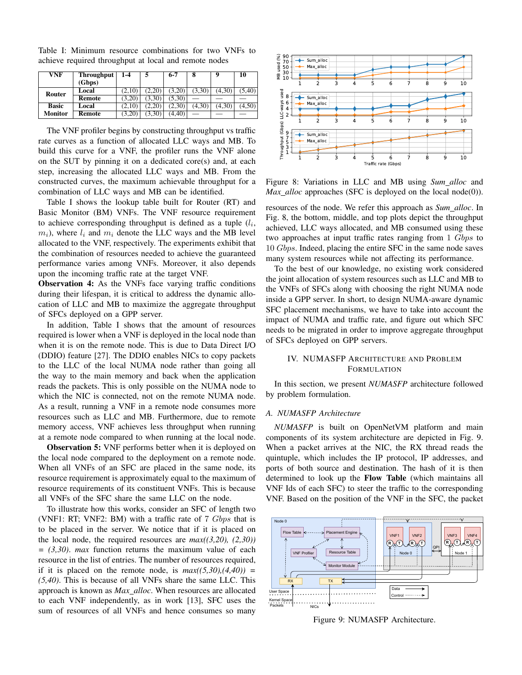| VNF            | Throughput<br>(Gbps) | 1-4    |        | $6 - 7$ | 8      |        | 10     |
|----------------|----------------------|--------|--------|---------|--------|--------|--------|
| Router         | Local                | (2,10) | (2.20) | (3,20)  | (3,30) | (4,30) | (5,40) |
|                | Remote               | (3,20) | (3,30) | (5.30)  |        |        |        |
| <b>Basic</b>   | Local                | (2,10) | (2.20) | (2.30   | (4,30) | (4,30) | (4,50) |
| <b>Monitor</b> | Remote               | (3,20) | (3,30) | (4.40)  | -      |        |        |

Table I: Minimum resource combinations for two VNFs to achieve required throughput at local and remote nodes

The VNF profiler begins by constructing throughput vs traffic rate curves as a function of allocated LLC ways and MB. To build this curve for a VNF, the profiler runs the VNF alone on the SUT by pinning it on a dedicated core(s) and, at each step, increasing the allocated LLC ways and MB. From the constructed curves, the maximum achievable throughput for a combination of LLC ways and MB can be identified.

Table I shows the lookup table built for Router (RT) and Basic Monitor (BM) VNFs. The VNF resource requirement to achieve corresponding throughput is defined as a tuple  $(l_i, \ldots, l_n)$  $m_i$ ), where  $l_i$  and  $m_i$  denote the LLC ways and the MB level allocated to the VNF, respectively. The experiments exhibit that the combination of resources needed to achieve the guaranteed performance varies among VNFs. Moreover, it also depends upon the incoming traffic rate at the target VNF.

Observation 4: As the VNFs face varying traffic conditions during their lifespan, it is critical to address the dynamic allocation of LLC and MB to maximize the aggregate throughput of SFCs deployed on a GPP server.

In addition, Table I shows that the amount of resources required is lower when a VNF is deployed in the local node than when it is on the remote node. This is due to Data Direct I/O (DDIO) feature [27]. The DDIO enables NICs to copy packets to the LLC of the local NUMA node rather than going all the way to the main memory and back when the application reads the packets. This is only possible on the NUMA node to which the NIC is connected, not on the remote NUMA node. As a result, running a VNF in a remote node consumes more resources such as LLC and MB. Furthermore, due to remote memory access, VNF achieves less throughput when running at a remote node compared to when running at the local node.

**Observation 5:** VNF performs better when it is deployed on the local node compared to the deployment on a remote node. When all VNFs of an SFC are placed in the same node, its resource requirement is approximately equal to the maximum of resource requirements of its constituent VNFs. This is because all VNFs of the SFC share the same LLC on the node.

To illustrate how this works, consider an SFC of length two (VNF1: RT; VNF2: BM) with a traffic rate of  $7 \; Gbps$  that is to be placed in the server. We notice that if it is placed on the local node, the required resources are *max((3,20), (2,30)) = (3,30)*. *max* function returns the maximum value of each resource in the list of entries. The number of resources required, if it is placed on the remote node, is  $max((5,30),(4,40)) =$ *(5,40)*. This is because of all VNFs share the same LLC. This approach is known as *Max alloc*. When resources are allocated to each VNF independently, as in work [13], SFC uses the sum of resources of all VNFs and hence consumes so many



Figure 8: Variations in LLC and MB using *Sum alloc* and *Max\_alloc* approaches (SFC is deployed on the local node(0)).

resources of the node. We refer this approach as *Sum alloc*. In Fig. 8, the bottom, middle, and top plots depict the throughput achieved, LLC ways allocated, and MB consumed using these two approaches at input traffic rates ranging from 1 Gbps to 10 Gbps. Indeed, placing the entire SFC in the same node saves many system resources while not affecting its performance.

To the best of our knowledge, no existing work considered the joint allocation of system resources such as LLC and MB to the VNFs of SFCs along with choosing the right NUMA node inside a GPP server. In short, to design NUMA-aware dynamic SFC placement mechanisms, we have to take into account the impact of NUMA and traffic rate, and figure out which SFC needs to be migrated in order to improve aggregate throughput of SFCs deployed on GPP servers.

# IV. NUMASFP ARCHITECTURE AND PROBLEM FORMULATION

In this section, we present *NUMASFP* architecture followed by problem formulation.

## *A. NUMASFP Architecture*

*NUMASFP* is built on OpenNetVM platform and main components of its system architecture are depicted in Fig. 9. When a packet arrives at the NIC, the RX thread reads the quintuple, which includes the IP protocol, IP addresses, and ports of both source and destination. The hash of it is then determined to look up the Flow Table (which maintains all VNF Ids of each SFC) to steer the traffic to the corresponding VNF. Based on the position of the VNF in the SFC, the packet



Figure 9: NUMASFP Architecture.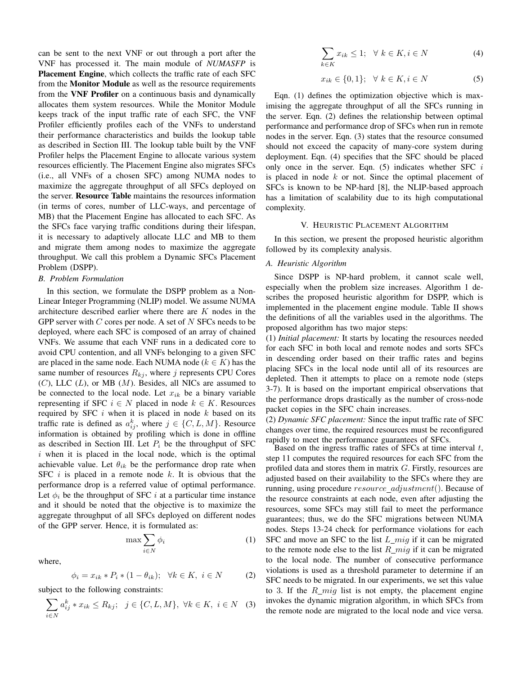can be sent to the next VNF or out through a port after the VNF has processed it. The main module of *NUMASFP* is Placement Engine, which collects the traffic rate of each SFC from the Monitor Module as well as the resource requirements from the VNF Profiler on a continuous basis and dynamically allocates them system resources. While the Monitor Module keeps track of the input traffic rate of each SFC, the VNF Profiler efficiently profiles each of the VNFs to understand their performance characteristics and builds the lookup table as described in Section III. The lookup table built by the VNF Profiler helps the Placement Engine to allocate various system resources efficiently. The Placement Engine also migrates SFCs (i.e., all VNFs of a chosen SFC) among NUMA nodes to maximize the aggregate throughput of all SFCs deployed on the server. Resource Table maintains the resources information (in terms of cores, number of LLC-ways, and percentage of MB) that the Placement Engine has allocated to each SFC. As the SFCs face varying traffic conditions during their lifespan, it is necessary to adaptively allocate LLC and MB to them and migrate them among nodes to maximize the aggregate throughput. We call this problem a Dynamic SFCs Placement Problem (DSPP).

## *B. Problem Formulation*

In this section, we formulate the DSPP problem as a Non-Linear Integer Programming (NLIP) model. We assume NUMA architecture described earlier where there are K nodes in the GPP server with  $C$  cores per node. A set of  $N$  SFCs needs to be deployed, where each SFC is composed of an array of chained VNFs. We assume that each VNF runs in a dedicated core to avoid CPU contention, and all VNFs belonging to a given SFC are placed in the same node. Each NUMA node ( $k \in K$ ) has the same number of resources  $R_{ki}$ , where j represents CPU Cores  $(C)$ , LLC  $(L)$ , or MB  $(M)$ . Besides, all NICs are assumed to be connected to the local node. Let  $x_{ik}$  be a binary variable representing if SFC  $i \in N$  placed in node  $k \in K$ . Resources required by SFC  $i$  when it is placed in node  $k$  based on its traffic rate is defined as  $a_{ij}^k$ , where  $j \in \{C, L, M\}$ . Resource information is obtained by profiling which is done in offline as described in Section III. Let  $P_i$  be the throughput of SFC  $i$  when it is placed in the local node, which is the optimal achievable value. Let  $\theta_{ik}$  be the performance drop rate when SFC  $i$  is placed in a remote node  $k$ . It is obvious that the performance drop is a referred value of optimal performance. Let  $\phi_i$  be the throughput of SFC i at a particular time instance and it should be noted that the objective is to maximize the aggregate throughput of all SFCs deployed on different nodes of the GPP server. Hence, it is formulated as:

$$
\max \sum_{i \in N} \phi_i \tag{1}
$$

where,

$$
\phi_i = x_{ik} * P_i * (1 - \theta_{ik}); \quad \forall k \in K, \ i \in N \tag{2}
$$

subject to the following constraints:

$$
\sum_{i \in N} a_{ij}^k * x_{ik} \le R_{kj}; \ \ j \in \{C, L, M\}, \ \forall k \in K, \ i \in N \quad (3)
$$

$$
\sum_{k \in K} x_{ik} \le 1; \quad \forall \ k \in K, i \in N \tag{4}
$$

$$
x_{ik} \in \{0, 1\}; \quad \forall \ k \in K, i \in N \tag{5}
$$

Eqn. (1) defines the optimization objective which is maximising the aggregate throughput of all the SFCs running in the server. Eqn. (2) defines the relationship between optimal performance and performance drop of SFCs when run in remote nodes in the server. Eqn. (3) states that the resource consumed should not exceed the capacity of many-core system during deployment. Eqn. (4) specifies that the SFC should be placed only once in the server. Eqn.  $(5)$  indicates whether SFC i is placed in node  $k$  or not. Since the optimal placement of SFCs is known to be NP-hard [8], the NLIP-based approach has a limitation of scalability due to its high computational complexity.

## V. HEURISTIC PLACEMENT ALGORITHM

In this section, we present the proposed heuristic algorithm followed by its complexity analysis.

# *A. Heuristic Algorithm*

Since DSPP is NP-hard problem, it cannot scale well, especially when the problem size increases. Algorithm 1 describes the proposed heuristic algorithm for DSPP, which is implemented in the placement engine module. Table II shows the definitions of all the variables used in the algorithms. The proposed algorithm has two major steps:

(1) *Initial placement:* It starts by locating the resources needed for each SFC in both local and remote nodes and sorts SFCs in descending order based on their traffic rates and begins placing SFCs in the local node until all of its resources are depleted. Then it attempts to place on a remote node (steps 3-7). It is based on the important empirical observations that the performance drops drastically as the number of cross-node packet copies in the SFC chain increases.

(2) *Dynamic SFC placement:* Since the input traffic rate of SFC changes over time, the required resources must be reconfigured rapidly to meet the performance guarantees of SFCs.

Based on the ingress traffic rates of SFCs at time interval  $t$ , step 11 computes the required resources for each SFC from the profiled data and stores them in matrix G. Firstly, resources are adjusted based on their availability to the SFCs where they are running, using procedure  $resource\_adjustment()$ . Because of the resource constraints at each node, even after adjusting the resources, some SFCs may still fail to meet the performance guarantees; thus, we do the SFC migrations between NUMA nodes. Steps 13-24 check for performance violations for each SFC and move an SFC to the list  $L_{mig}$  if it can be migrated to the remote node else to the list  $R_{m}$  if it can be migrated to the local node. The number of consecutive performance violations is used as a threshold parameter to determine if an SFC needs to be migrated. In our experiments, we set this value to 3. If the  $R_{m}$  list is not empty, the placement engine invokes the dynamic migration algorithm, in which SFCs from the remote node are migrated to the local node and vice versa.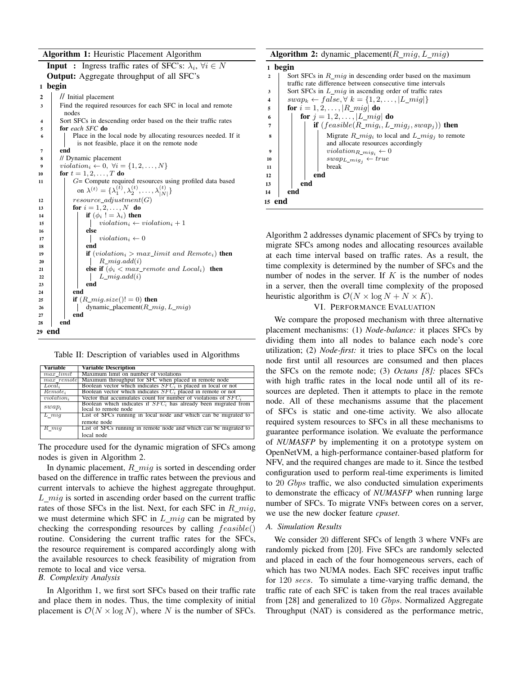Algorithm 1: Heuristic Placement Algorithm



Table II: Description of variables used in Algorithms

| <b>Variable</b>        | <b>Variable Description</b>                                                              |  |  |
|------------------------|------------------------------------------------------------------------------------------|--|--|
| max limit              | Maximum limit on number of violations                                                    |  |  |
| $max$ remote           | Maximum throughput for SFC when placed in remote node                                    |  |  |
| $Local_i$              | Boolean vector which indicates $SFCi$ is placed in local or not                          |  |  |
| Remote <sub>i</sub>    | Boolean vector which indicates $SFC_i$ placed in remote or not                           |  |  |
| violation <sub>i</sub> | Vector that accumulates count for number of violations of $SFC_i$                        |  |  |
| $swap_i$               | Boolean which indicates if $SFCi$ has already been migrated from<br>local to remote node |  |  |
| $L$ $miq$              | List of SFCs running in local node and which can be migrated to                          |  |  |
|                        | remote node                                                                              |  |  |
| $R$ miq                | List of SFCs running in remote node and which can be migrated to                         |  |  |
|                        | local node                                                                               |  |  |

The procedure used for the dynamic migration of SFCs among nodes is given in Algorithm 2.

In dynamic placement,  $R_{m}$  is sorted in descending order based on the difference in traffic rates between the previous and current intervals to achieve the highest aggregate throughput.  $L_{mig}$  is sorted in ascending order based on the current traffic rates of those SFCs in the list. Next, for each SFC in  $R_{m}$ we must determine which SFC in  $L_{m}$  can be migrated by checking the corresponding resources by calling  $feasible()$ routine. Considering the current traffic rates for the SFCs, the resource requirement is compared accordingly along with the available resources to check feasibility of migration from remote to local and vice versa.

# *B. Complexity Analysis*

In Algorithm 1, we first sort SFCs based on their traffic rate and place them in nodes. Thus, the time complexity of initial placement is  $\mathcal{O}(N \times \log N)$ , where N is the number of SFCs.



Algorithm 2 addresses dynamic placement of SFCs by trying to migrate SFCs among nodes and allocating resources available at each time interval based on traffic rates. As a result, the time complexity is determined by the number of SFCs and the number of nodes in the server. If  $K$  is the number of nodes in a server, then the overall time complexity of the proposed heuristic algorithm is  $\mathcal{O}(N \times \log N + N \times K)$ .

## VI. PERFORMANCE EVALUATION

We compare the proposed mechanism with three alternative placement mechanisms: (1) *Node-balance:* it places SFCs by dividing them into all nodes to balance each node's core utilization; (2) *Node-first:* it tries to place SFCs on the local node first until all resources are consumed and then places the SFCs on the remote node; (3) *Octans [8]:* places SFCs with high traffic rates in the local node until all of its resources are depleted. Then it attempts to place in the remote node. All of these mechanisms assume that the placement of SFCs is static and one-time activity. We also allocate required system resources to SFCs in all these mechanisms to guarantee performance isolation. We evaluate the performance of *NUMASFP* by implementing it on a prototype system on OpenNetVM, a high-performance container-based platform for NFV, and the required changes are made to it. Since the testbed configuration used to perform real-time experiments is limited to 20 Gbps traffic, we also conducted simulation experiments to demonstrate the efficacy of *NUMASFP* when running large number of SFCs. To migrate VNFs between cores on a server, we use the new docker feature *cpuset*.

### *A. Simulation Results*

We consider 20 different SFCs of length 3 where VNFs are randomly picked from [20]. Five SFCs are randomly selected and placed in each of the four homogeneous servers, each of which has two NUMA nodes. Each SFC receives input traffic for 120 secs. To simulate a time-varying traffic demand, the traffic rate of each SFC is taken from the real traces available from [28] and generalized to 10 *Gbps*. Normalized Aggregate Throughput (NAT) is considered as the performance metric,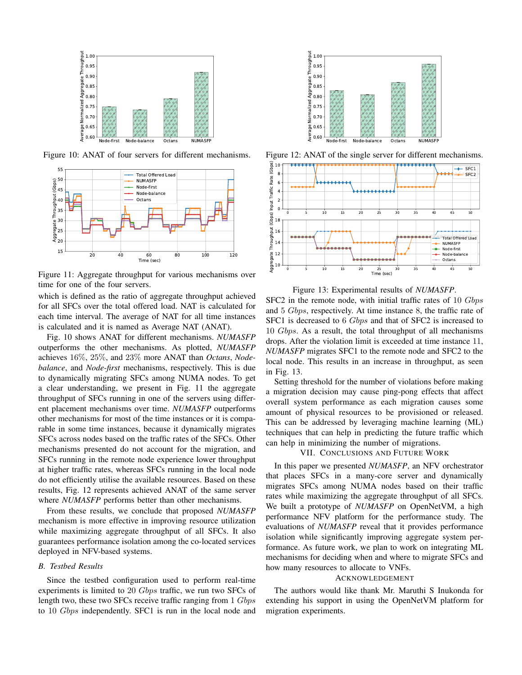

Figure 10: ANAT of four servers for different mechanisms.



Figure 11: Aggregate throughput for various mechanisms over time for one of the four servers.

which is defined as the ratio of aggregate throughput achieved for all SFCs over the total offered load. NAT is calculated for each time interval. The average of NAT for all time instances is calculated and it is named as Average NAT (ANAT).

Fig. 10 shows ANAT for different mechanisms. *NUMASFP* outperforms the other mechanisms. As plotted, *NUMASFP* achieves 16%, 25%, and 23% more ANAT than *Octans*, *Nodebalance*, and *Node-first* mechanisms, respectively. This is due to dynamically migrating SFCs among NUMA nodes. To get a clear understanding, we present in Fig. 11 the aggregate throughput of SFCs running in one of the servers using different placement mechanisms over time. *NUMASFP* outperforms other mechanisms for most of the time instances or it is comparable in some time instances, because it dynamically migrates SFCs across nodes based on the traffic rates of the SFCs. Other mechanisms presented do not account for the migration, and SFCs running in the remote node experience lower throughput at higher traffic rates, whereas SFCs running in the local node do not efficiently utilise the available resources. Based on these results, Fig. 12 represents achieved ANAT of the same server where *NUMASFP* performs better than other mechanisms.

From these results, we conclude that proposed *NUMASFP* mechanism is more effective in improving resource utilization while maximizing aggregate throughput of all SFCs. It also guarantees performance isolation among the co-located services deployed in NFV-based systems.

# *B. Testbed Results*

Since the testbed configuration used to perform real-time experiments is limited to 20 Gbps traffic, we run two SFCs of length two, these two SFCs receive traffic ranging from 1 Gbps to 10 Gbps independently. SFC1 is run in the local node and



Figure 12: ANAT of the single server for different mechanisms.



Figure 13: Experimental results of *NUMASFP*.

SFC2 in the remote node, with initial traffic rates of 10 Gbps and 5 Gbps, respectively. At time instance 8, the traffic rate of SFC1 is decreased to 6 *Gbps* and that of SFC2 is increased to 10 Gbps. As a result, the total throughput of all mechanisms drops. After the violation limit is exceeded at time instance 11, *NUMASFP* migrates SFC1 to the remote node and SFC2 to the local node. This results in an increase in throughput, as seen in Fig. 13.

Setting threshold for the number of violations before making a migration decision may cause ping-pong effects that affect overall system performance as each migration causes some amount of physical resources to be provisioned or released. This can be addressed by leveraging machine learning (ML) techniques that can help in predicting the future traffic which can help in minimizing the number of migrations.

## VII. CONCLUSIONS AND FUTURE WORK

In this paper we presented *NUMASFP*, an NFV orchestrator that places SFCs in a many-core server and dynamically migrates SFCs among NUMA nodes based on their traffic rates while maximizing the aggregate throughput of all SFCs. We built a prototype of *NUMASFP* on OpenNetVM, a high performance NFV platform for the performance study. The evaluations of *NUMASFP* reveal that it provides performance isolation while significantly improving aggregate system performance. As future work, we plan to work on integrating ML mechanisms for deciding when and where to migrate SFCs and how many resources to allocate to VNFs.

#### ACKNOWLEDGEMENT

The authors would like thank Mr. Maruthi S Inukonda for extending his support in using the OpenNetVM platform for migration experiments.